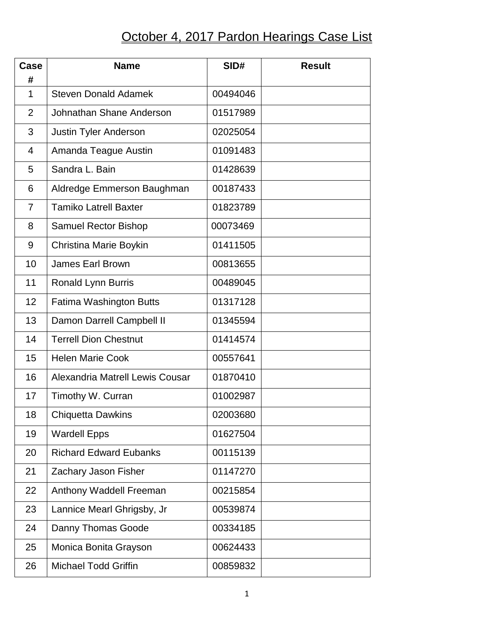## October 4, 2017 Pardon Hearings Case List

| Case<br>#      | <b>Name</b>                     | SID#     | <b>Result</b> |
|----------------|---------------------------------|----------|---------------|
| 1              | <b>Steven Donald Adamek</b>     | 00494046 |               |
| 2              | Johnathan Shane Anderson        | 01517989 |               |
| 3              | Justin Tyler Anderson           | 02025054 |               |
| 4              | Amanda Teague Austin            | 01091483 |               |
| 5              | Sandra L. Bain                  | 01428639 |               |
| 6              | Aldredge Emmerson Baughman      | 00187433 |               |
| $\overline{7}$ | <b>Tamiko Latrell Baxter</b>    | 01823789 |               |
| 8              | <b>Samuel Rector Bishop</b>     | 00073469 |               |
| 9              | Christina Marie Boykin          | 01411505 |               |
| 10             | <b>James Earl Brown</b>         | 00813655 |               |
| 11             | Ronald Lynn Burris              | 00489045 |               |
| 12             | Fatima Washington Butts         | 01317128 |               |
| 13             | Damon Darrell Campbell II       | 01345594 |               |
| 14             | <b>Terrell Dion Chestnut</b>    | 01414574 |               |
| 15             | <b>Helen Marie Cook</b>         | 00557641 |               |
| 16             | Alexandria Matrell Lewis Cousar | 01870410 |               |
| 17             | Timothy W. Curran               | 01002987 |               |
| 18             | <b>Chiquetta Dawkins</b>        | 02003680 |               |
| 19             | <b>Wardell Epps</b>             | 01627504 |               |
| 20             | <b>Richard Edward Eubanks</b>   | 00115139 |               |
| 21             | Zachary Jason Fisher            | 01147270 |               |
| 22             | Anthony Waddell Freeman         | 00215854 |               |
| 23             | Lannice Mearl Ghrigsby, Jr      | 00539874 |               |
| 24             | Danny Thomas Goode              | 00334185 |               |
| 25             | Monica Bonita Grayson           | 00624433 |               |
| 26             | <b>Michael Todd Griffin</b>     | 00859832 |               |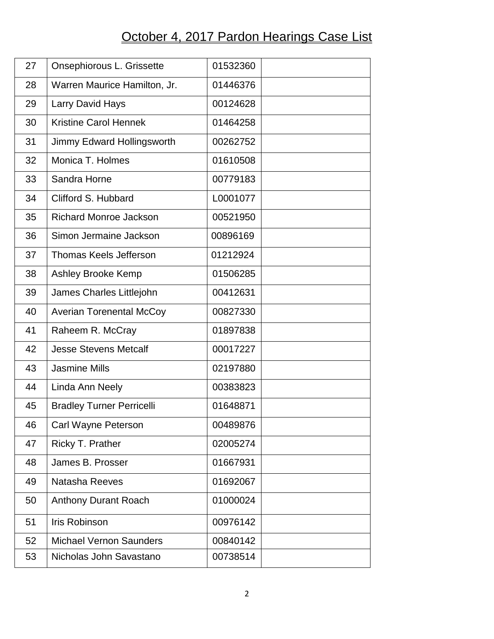## October 4, 2017 Pardon Hearings Case List

| 27 | Onsephiorous L. Grissette        | 01532360 |
|----|----------------------------------|----------|
| 28 | Warren Maurice Hamilton, Jr.     | 01446376 |
| 29 | Larry David Hays                 | 00124628 |
| 30 | <b>Kristine Carol Hennek</b>     | 01464258 |
| 31 | Jimmy Edward Hollingsworth       | 00262752 |
| 32 | Monica T. Holmes                 | 01610508 |
| 33 | Sandra Horne                     | 00779183 |
| 34 | Clifford S. Hubbard              | L0001077 |
| 35 | <b>Richard Monroe Jackson</b>    | 00521950 |
| 36 | Simon Jermaine Jackson           | 00896169 |
| 37 | <b>Thomas Keels Jefferson</b>    | 01212924 |
| 38 | Ashley Brooke Kemp               | 01506285 |
| 39 | James Charles Littlejohn         | 00412631 |
| 40 | <b>Averian Torenental McCoy</b>  | 00827330 |
| 41 | Raheem R. McCray                 | 01897838 |
| 42 | <b>Jesse Stevens Metcalf</b>     | 00017227 |
| 43 | <b>Jasmine Mills</b>             | 02197880 |
| 44 | Linda Ann Neely                  | 00383823 |
| 45 | <b>Bradley Turner Perricelli</b> | 01648871 |
| 46 | Carl Wayne Peterson              | 00489876 |
| 47 | Ricky T. Prather                 | 02005274 |
| 48 | James B. Prosser                 | 01667931 |
| 49 | Natasha Reeves                   | 01692067 |
| 50 | <b>Anthony Durant Roach</b>      | 01000024 |
| 51 | <b>Iris Robinson</b>             | 00976142 |
| 52 | <b>Michael Vernon Saunders</b>   | 00840142 |
| 53 | Nicholas John Savastano          | 00738514 |